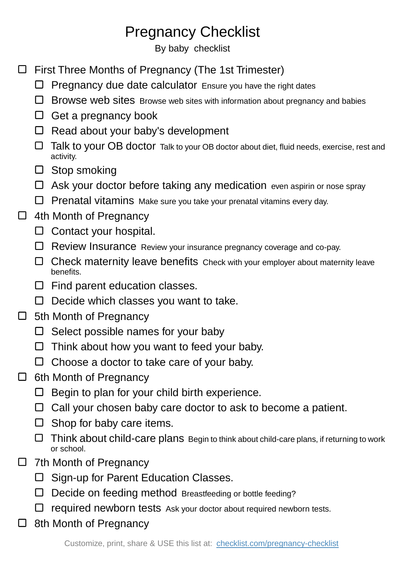## Pregnancy Checklist

By baby checklist

- $\Box$  First Three Months of Pregnancy (The 1st Trimester)
	- $\Box$  Pregnancy due date calculator Ensure you have the right dates
	- $\Box$  Browse web sites Browse web sites with information about pregnancy and babies
	- $\Box$  Get a pregnancy book
	- $\Box$  Read about your baby's development
	- $\Box$  Talk to your OB doctor Talk to your OB doctor about diet, fluid needs, exercise, rest and activity.
	- □ Stop smoking
	- $\Box$  Ask your doctor before taking any medication even aspirin or nose spray
	- $\Box$  Prenatal vitamins Make sure you take your prenatal vitamins every day.
- $\Box$  4th Month of Pregnancy
	- $\Box$  Contact your hospital.
	- □ Review Insurance Review your insurance pregnancy coverage and co-pay.
	- $\Box$  Check maternity leave benefits Check with your employer about maternity leave benefits.
	- $\Box$  Find parent education classes.
	- $\Box$  Decide which classes you want to take.
- $\Box$  5th Month of Pregnancy
	- $\Box$  Select possible names for your baby
	- $\Box$  Think about how you want to feed your baby.
	- $\Box$  Choose a doctor to take care of your baby.
- $\Box$  6th Month of Pregnancy
	- $\Box$  Begin to plan for your child birth experience.
	- $\Box$  Call your chosen baby care doctor to ask to become a patient.
	- $\Box$  Shop for baby care items.
	- $\Box$  Think about child-care plans Begin to think about child-care plans, if returning to work or school.
- $\Box$ 7th Month of Pregnancy
	- $\Box$  Sign-up for Parent Education Classes.
	- $\square$  Decide on feeding method Breastfeeding or bottle feeding?
	- $\Box$  required newborn tests Ask your doctor about required newborn tests.
- $\Box$  8th Month of Pregnancy